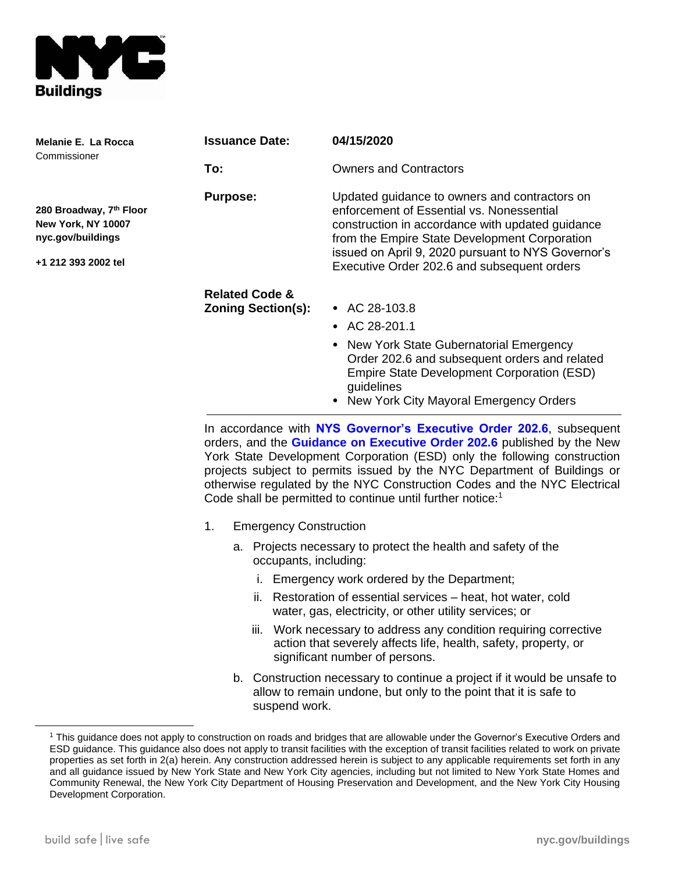

| Melanie E. La Rocca<br>Commissioner                                                       | <b>Issuance Date:</b>                                  | 04/15/2020                                                                                                                                                                                                                                                                                           |
|-------------------------------------------------------------------------------------------|--------------------------------------------------------|------------------------------------------------------------------------------------------------------------------------------------------------------------------------------------------------------------------------------------------------------------------------------------------------------|
|                                                                                           | To:                                                    | <b>Owners and Contractors</b>                                                                                                                                                                                                                                                                        |
| 280 Broadway, 7th Floor<br>New York, NY 10007<br>nyc.gov/buildings<br>+1 212 393 2002 tel | <b>Purpose:</b>                                        | Updated guidance to owners and contractors on<br>enforcement of Essential vs. Nonessential<br>construction in accordance with updated guidance<br>from the Empire State Development Corporation<br>issued on April 9, 2020 pursuant to NYS Governor's<br>Executive Order 202.6 and subsequent orders |
|                                                                                           | <b>Related Code &amp;</b><br><b>Zoning Section(s):</b> | • AC 28-103.8<br>• AC 28-201.1<br>• New York State Gubernatorial Emergency<br>Order 202.6 and subsequent orders and related<br>Empire State Development Corporation (ESD)<br>guidelines<br>• New York City Mayoral Emergency Orders                                                                  |

In accordance with **[NYS Governor's Executive Order 202.6](https://www.governor.ny.gov/news/no-2026-continuing-temporary-suspension-and-modification-laws-relating-disaster-emergency)**, subsequent orders, and the **[Guidance on Executive Order 202.6](https://esd.ny.gov/guidance-executive-order-2026)** published by the New York State Development Corporation (ESD) only the following construction projects subject to permits issued by the NYC Department of Buildings or otherwise regulated by the NYC Construction Codes and the NYC Electrical Code shall be permitted to continue until further notice:<sup>1</sup>

- 1. Emergency Construction
	- a. Projects necessary to protect the health and safety of the occupants, including:
		- i. Emergency work ordered by the Department;
		- ii. Restoration of essential services heat, hot water, cold water, gas, electricity, or other utility services; or
		- iii. Work necessary to address any condition requiring corrective action that severely affects life, health, safety, property, or significant number of persons.
	- b. Construction necessary to continue a project if it would be unsafe to allow to remain undone, but only to the point that it is safe to suspend work.

<sup>1</sup> This guidance does not apply to construction on roads and bridges that are allowable under the Governor's Executive Orders and ESD guidance. This guidance also does not apply to transit facilities with the exception of transit facilities related to work on private properties as set forth in 2(a) herein. Any construction addressed herein is subject to any applicable requirements set forth in any and all guidance issued by New York State and New York City agencies, including but not limited to New York State Homes and Community Renewal, the New York City Department of Housing Preservation and Development, and the New York City Housing Development Corporation.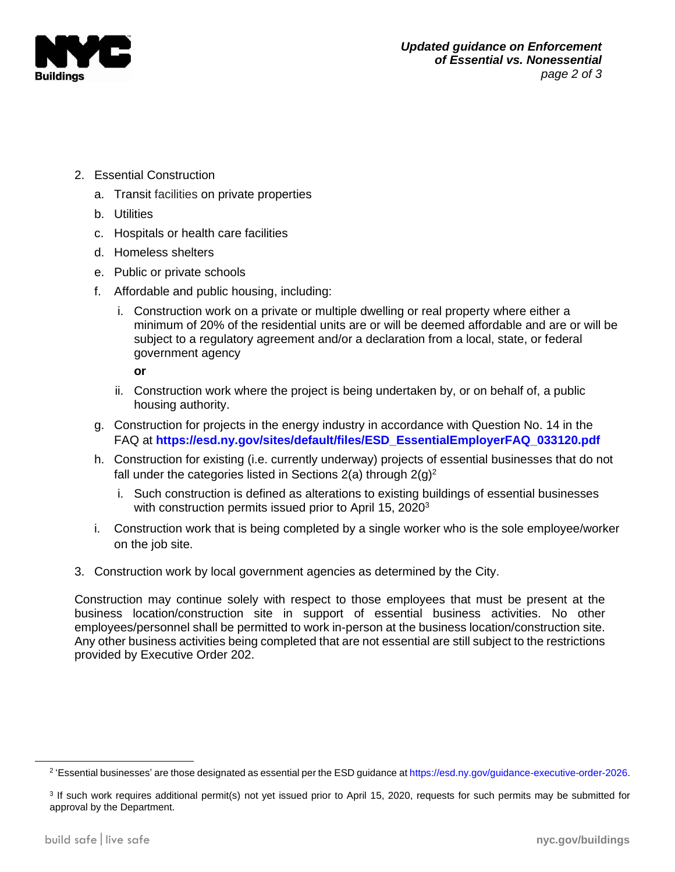

- 2. Essential Construction
	- a. Transit facilities on private properties
	- b. Utilities
	- c. Hospitals or health care facilities
	- d. Homeless shelters
	- e. Public or private schools
	- f. Affordable and public housing, including:
		- i. Construction work on a private or multiple dwelling or real property where either a minimum of 20% of the residential units are or will be deemed affordable and are or will be subject to a regulatory agreement and/or a declaration from a local, state, or federal government agency

**or**

- ii. Construction work where the project is being undertaken by, or on behalf of, a public housing authority.
- g. Construction for projects in the energy industry in accordance with Question No. 14 in the FAQ at **[https://esd.ny.gov/sites/default/files/ESD\\_EssentialEmployerFAQ\\_033120.pdf](https://esd.ny.gov/sites/default/files/ESD_EssentialEmployerFAQ_033120.pdf)**
- h. Construction for existing (i.e. currently underway) projects of essential businesses that do not fall under the categories listed in Sections 2(a) through  $2(q)^2$ 
	- i. Such construction is defined as alterations to existing buildings of essential businesses with construction permits issued prior to April 15, 2020<sup>3</sup>
- i. Construction work that is being completed by a single worker who is the sole employee/worker on the job site.
- 3. Construction work by local government agencies as determined by the City.

Construction may continue solely with respect to those employees that must be present at the business location/construction site in support of essential business activities. No other employees/personnel shall be permitted to work in-person at the business location/construction site. Any other business activities being completed that are not essential are still subject to the restrictions provided by Executive Order 202.

<sup>&</sup>lt;sup>2</sup> 'Essential businesses' are those designated as essential per the ESD guidance a[t https://esd.ny.gov/guidance-executive-order-2026.](https://esd.ny.gov/guidance-executive-order-2026)

<sup>&</sup>lt;sup>3</sup> If such work requires additional permit(s) not yet issued prior to April 15, 2020, requests for such permits may be submitted for approval by the Department.